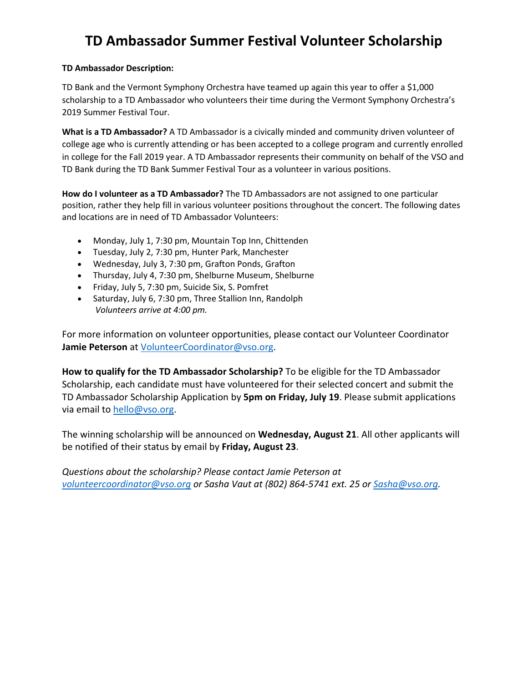## **TD Ambassador Summer Festival Volunteer Scholarship**

## **TD Ambassador Description:**

TD Bank and the Vermont Symphony Orchestra have teamed up again this year to offer a \$1,000 scholarship to a TD Ambassador who volunteers their time during the Vermont Symphony Orchestra's 2019 Summer Festival Tour.

**What is a TD Ambassador?** A TD Ambassador is a civically minded and community driven volunteer of college age who is currently attending or has been accepted to a college program and currently enrolled in college for the Fall 2019 year. A TD Ambassador represents their community on behalf of the VSO and TD Bank during the TD Bank Summer Festival Tour as a volunteer in various positions.

**How do I volunteer as a TD Ambassador?** The TD Ambassadors are not assigned to one particular position, rather they help fill in various volunteer positions throughout the concert. The following dates and locations are in need of TD Ambassador Volunteers:

- Monday, July 1, 7:30 pm, Mountain Top Inn, Chittenden
- Tuesday, July 2, 7:30 pm, Hunter Park, Manchester
- Wednesday, July 3, 7:30 pm, Grafton Ponds, Grafton
- Thursday, July 4, 7:30 pm, Shelburne Museum, Shelburne
- Friday, July 5, 7:30 pm, Suicide Six, S. Pomfret
- Saturday, July 6, 7:30 pm, Three Stallion Inn, Randolph *Volunteers arrive at 4:00 pm.*

For more information on volunteer opportunities, please contact our Volunteer Coordinator **Jamie Peterson** at [VolunteerCoordinator@vso.org.](mailto:VolunteerCoordinator@vso.org)

**How to qualify for the TD Ambassador Scholarship?** To be eligible for the TD Ambassador Scholarship, each candidate must have volunteered for their selected concert and submit the TD Ambassador Scholarship Application by **5pm on Friday, July 19**. Please submit applications via email to [hello@vso.org.](mailto:hello@vso.org)

The winning scholarship will be announced on **Wednesday, August 21**. All other applicants will be notified of their status by email by **Friday, August 23**.

*Questions about the scholarship? Please contact Jamie Peterson at [volunteercoordinator@vso.org](mailto:volunteercoordinator@vso.org) or Sasha Vaut at (802) 864-5741 ext. 25 or [Sasha@vso.org.](mailto:Sasha@vso.org)*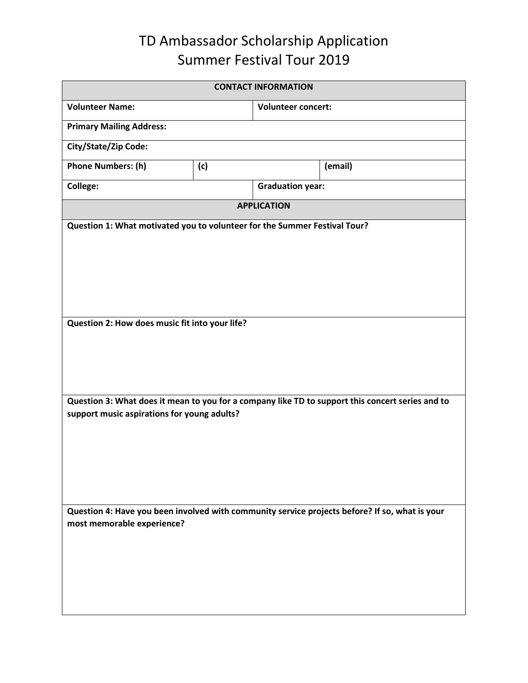## TD Ambassador Scholarship Application Summer Festival Tour 2019

| <b>CONTACT INFORMATION</b>                                                                                                                      |     |                           |         |  |
|-------------------------------------------------------------------------------------------------------------------------------------------------|-----|---------------------------|---------|--|
| <b>Volunteer Name:</b>                                                                                                                          |     | <b>Volunteer concert:</b> |         |  |
| <b>Primary Mailing Address:</b>                                                                                                                 |     |                           |         |  |
| City/State/Zip Code:                                                                                                                            |     |                           |         |  |
| <b>Phone Numbers: (h)</b>                                                                                                                       | (c) |                           | (email) |  |
| <b>College:</b>                                                                                                                                 |     | <b>Graduation year:</b>   |         |  |
| <b>APPLICATION</b>                                                                                                                              |     |                           |         |  |
| Question 1: What motivated you to volunteer for the Summer Festival Tour?                                                                       |     |                           |         |  |
| Question 2: How does music fit into your life?                                                                                                  |     |                           |         |  |
| Question 3: What does it mean to you for a company like TD to support this concert series and to<br>support music aspirations for young adults? |     |                           |         |  |
| Question 4: Have you been involved with community service projects before? If so, what is your<br>most memorable experience?                    |     |                           |         |  |